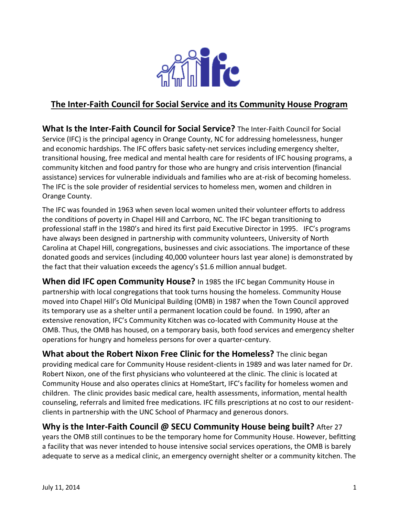

# **The Inter-Faith Council for Social Service and its Community House Program**

**What Is the Inter-Faith Council for Social Service?** The Inter-Faith Council for Social Service (IFC) is the principal agency in Orange County, NC for addressing homelessness, hunger and economic hardships. The IFC offers basic safety-net services including emergency shelter, transitional housing, free medical and mental health care for residents of IFC housing programs, a community kitchen and food pantry for those who are hungry and crisis intervention (financial assistance) services for vulnerable individuals and families who are at-risk of becoming homeless. The IFC is the sole provider of residential services to homeless men, women and children in Orange County.

The IFC was founded in 1963 when seven local women united their volunteer efforts to address the conditions of poverty in Chapel Hill and Carrboro, NC. The IFC began transitioning to professional staff in the 1980's and hired its first paid Executive Director in 1995. IFC's programs have always been designed in partnership with community volunteers, University of North Carolina at Chapel Hill, congregations, businesses and civic associations. The importance of these donated goods and services (including 40,000 volunteer hours last year alone) is demonstrated by the fact that their valuation exceeds the agency's \$1.6 million annual budget.

**When did IFC open Community House?** In 1985 the IFC began Community House in partnership with local congregations that took turns housing the homeless. Community House moved into Chapel Hill's Old Municipal Building (OMB) in 1987 when the Town Council approved its temporary use as a shelter until a permanent location could be found. In 1990, after an extensive renovation, IFC's Community Kitchen was co-located with Community House at the OMB. Thus, the OMB has housed, on a temporary basis, both food services and emergency shelter operations for hungry and homeless persons for over a quarter-century.

**What about the Robert Nixon Free Clinic for the Homeless?** The clinic began providing medical care for Community House resident-clients in 1989 and was later named for Dr. Robert Nixon, one of the first physicians who volunteered at the clinic. The clinic is located at Community House and also operates clinics at HomeStart, IFC's facility for homeless women and children. The clinic provides basic medical care, health assessments, information, mental health counseling, referrals and limited free medications. IFC fills prescriptions at no cost to our residentclients in partnership with the UNC School of Pharmacy and generous donors.

# **Why is the Inter-Faith Council @ SECU Community House being built?** After 27

years the OMB still continues to be the temporary home for Community House. However, befitting a facility that was never intended to house intensive social services operations, the OMB is barely adequate to serve as a medical clinic, an emergency overnight shelter or a community kitchen. The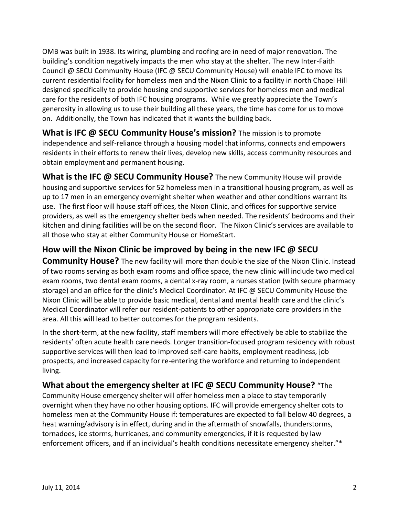OMB was built in 1938. Its wiring, plumbing and roofing are in need of major renovation. The building's condition negatively impacts the men who stay at the shelter. The new Inter-Faith Council @ SECU Community House (IFC @ SECU Community House) will enable IFC to move its current residential facility for homeless men and the Nixon Clinic to a facility in north Chapel Hill designed specifically to provide housing and supportive services for homeless men and medical care for the residents of both IFC housing programs. While we greatly appreciate the Town's generosity in allowing us to use their building all these years, the time has come for us to move on. Additionally, the Town has indicated that it wants the building back.

**What is IFC @ SECU Community House's mission?** The mission is to promote independence and self-reliance through a housing model that informs, connects and empowers residents in their efforts to renew their lives, develop new skills, access community resources and obtain employment and permanent housing.

**What is the IFC @ SECU Community House?** The new Community House will provide housing and supportive services for 52 homeless men in a transitional housing program, as well as up to 17 men in an emergency overnight shelter when weather and other conditions warrant its use. The first floor will house staff offices, the Nixon Clinic, and offices for supportive service providers, as well as the emergency shelter beds when needed. The residents' bedrooms and their kitchen and dining facilities will be on the second floor. The Nixon Clinic's services are available to all those who stay at either Community House or HomeStart.

# **How will the Nixon Clinic be improved by being in the new IFC @ SECU**

**Community House?** The new facility will more than double the size of the Nixon Clinic. Instead of two rooms serving as both exam rooms and office space, the new clinic will include two medical exam rooms, two dental exam rooms, a dental x-ray room, a nurses station (with secure pharmacy storage) and an office for the clinic's Medical Coordinator. At IFC @ SECU Community House the Nixon Clinic will be able to provide basic medical, dental and mental health care and the clinic's Medical Coordinator will refer our resident-patients to other appropriate care providers in the area. All this will lead to better outcomes for the program residents.

In the short-term, at the new facility, staff members will more effectively be able to stabilize the residents' often acute health care needs. Longer transition-focused program residency with robust supportive services will then lead to improved self-care habits, employment readiness, job prospects, and increased capacity for re-entering the workforce and returning to independent living.

### **What about the emergency shelter at IFC @ SECU Community House?** "The

Community House emergency shelter will offer homeless men a place to stay temporarily overnight when they have no other housing options. IFC will provide emergency shelter cots to homeless men at the Community House if: temperatures are expected to fall below 40 degrees, a heat warning/advisory is in effect, during and in the aftermath of snowfalls, thunderstorms, tornadoes, ice storms, hurricanes, and community emergencies, if it is requested by law enforcement officers, and if an individual's health conditions necessitate emergency shelter."\*